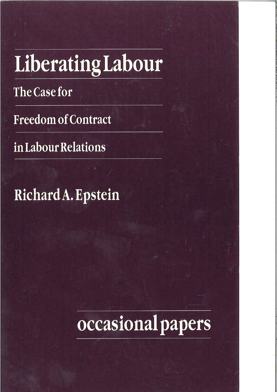# LiberatingLabour

The Case for

**Freedom of Contract** 

in Labour Relations

Richard A. Epstein

# occasional papers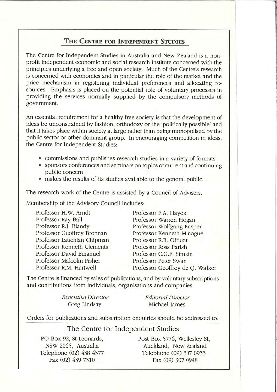#### THE CENTRE FOR INDEPENDENT STUDIES

The Centre for Independent Studies in Australia and New Zealand is a nonprofit independent economic and social research institute concerned with the principles underlying a free and open society. Much of the Centre's research is concerned with economics and in particular the role of the market and the price mechanism in registering individual preferences and allocating resources. Emphasis is placed on the potential role of voluntary processes in providing the services normally supplied by the compulsory methods of government.

An essential requirement for a healthy free society is that the development of ideas be unconstrained by fashion, orthodoxy or the 'politically possible' and that it takes place within society at large rather than being monopolised by the public sector or other dominant group. In encouraging competition in ideas, the Centre for Independent Studies:

- commissions and publishes research studies in a variety of formats
- sponsors conferences and seminars on topics of current and continuing public concern
- makes the results of its studies available to the general public.

The research work of the Centre is assisted by a Council of Advisers.

Membership of the Advisory Council includes:

|                    | Professor H.W. Arndt       |
|--------------------|----------------------------|
| Professor Ray Ball |                            |
|                    | Professor R.J. Blandy      |
|                    | Professor Geoffrey Brennan |
|                    | Professor Lauchlan Chipman |
|                    | Professor Kenneth Clements |
|                    | Professor David Emanuel    |
|                    | Professor Malcolm Fisher   |
|                    | Professor R.M. Hartwell    |

Professor F.A. Hayek Professor Warren Hogan Professor Wolfgang Kasper Professor Kenneth Minogue Professor R.R. Officer Professor Ross Parish Professor C.G.F. Simkin Professor Peter Swan Professor Geoffrey de O. Walker

The Centre is financed by sales of publications, and by voluntary subscriptions and contributions from individuals, organisations and companies.

> **Executive Director** Greg Lindsay

**Editorial Director** Michael James

Orders for publications and subscription enquiries should be addressed to:

#### The Centre for Independent Studies

PO Box 92, St Leonards, NSW 2065, Australia Telephone (02) 438 4377 Fax (02) 439 7310

Post Box 5776, Wellesley St. Auckland, New Zealand Telephone (09) 307 0933 Fax (09) 307 0948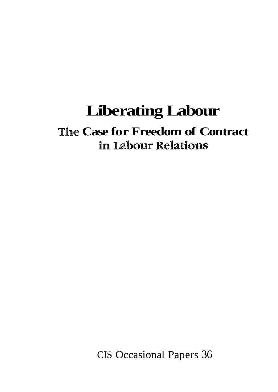# **Liberating Labour**

# The Case for Freedom of Contract in Labour Relations

**CIS Occasional Papers 36**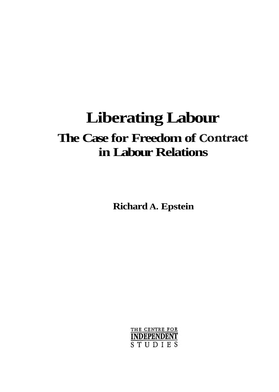# **Liberating Labour The Case for Freedom of Contract in Labour Relations**

**Richard A. Epstein** 

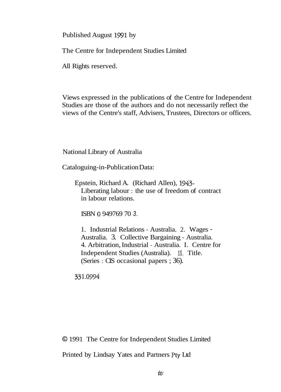Published August 1991 by

The Centre for Independent Studies Limited

All Rights reserved.

Views expressed in the publications of the Centre for Independent Studies are those of the authors and do not necessarily reflect the views of the Centre's staff, Advisers, Trustees, Directors or officers.

National Library of Australia

Cataloguing-in-Publication Data:

Epstein, Richard A. (Richard Allen), 1943- Liberating labour : the use of freedom of contract in labour relations.

ISBN 0 949769 70 3.

1. Industrial Relations - Australia. 2. Wages - Australia. 3. Collective Bargaining - Australia. 4. Arbitration, Industrial - Australia. I. Centre for Independent Studies (Australia). 11. Title. (Series : CIS occasional papers ; 36).

331.0994

O 1991 The Centre for Independent Studies Limited

Printed by Lindsay Yates and Partners Pty Ltd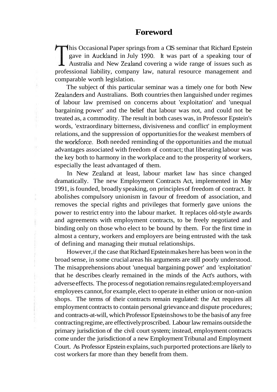his Occasional Paper springs from a CIS seminar that Richard Epstein gave in Auckland in July 1990. It was part of a speaking tour of Australia and New Zealand covering a wide range of issues such as professional liability, company law, natural resource management and comparable worth legislation.

The subject of this particular seminar was a timely one for both New Zealanders and Australians. Both countries then languished under regimes of labour law premised on concerns about 'exploitation' and 'unequal bargaining power' and the belief that labour was not, and could not be treated as, a commodity. The result in both cases was, in Professor Epstein's words, 'extraordinary bitterness, divisiveness and conflict' in employment relations, and the suppression of opportunities for the weakest members of the workForce. Both needed reminding of the opportunities and the mutual advantages associated with freedom of contract; that liberating labour was the key both to harmony in the workplace and to the prosperity of workers, especially the least advantaged of them.

In New Zealand at least, labour market law has since changed dramatically. The new Employment Contracts Act, implemented in May 1991, is founded, broadly speaking, on principles of freedom of contract. It abolishes compulsory unionism in favour of freedom of association, and removes the special rights and privileges that formerly gave unions the power to restrict entry into the labour market. It replaces old-style awards and agreements with employment contracts, to be freely negotiated and binding only on those who elect to be bound by them. For the first time in almost a century, workers and employers are being entrusted with the task of defining and managing their mutual relationships.

However, if the case that Richard Epstein makes here has been won in the broad sense, in some crucial areas his arguments are still poorly understood. The misapprehensions about 'unequal bargaining power' and 'exploitation' that he describes clearly remained in the minds of the Act's authors, with adverse effects. The process of negotiation remains regulated: employers and employees cannot, for example, elect to operate in either union or non-union shops. The terms of their contracts remain regulated: the Act requires all employment contracts to contain personal grievance and dispute procedures; and contracts-at-will, which Professor Epstein shows to be the basis of any free contracting regime, are effectively proscribed. Labour law remains outside the primary jurisdiction of the civil court system; instead, employment contracts come under the jurisdiction of a new Employment Tribunal and Employment Court. As Professor Epstein explains, such purported protections are likely to cost workers far more than they benefit from them.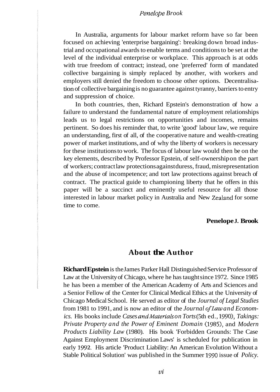#### *Penelope Brook*

In Australia, arguments for labour market reform have so far been focused on achieving 'enterprise bargaining': breaking down broad industrial and occupational awards to enable terms and conditions to be set at the level of the individual enterprise or workplace. This approach is at odds with true freedom of contract; instead, one 'preferred' form of mandated collective bargaining is simply replaced by another, with workers and employers still denied the freedom to choose other options. Decentralisation of collective bargaining is no guarantee against tyranny, barriers to entry and suppression of choice.

In both countries, then, Richard Epstein's demonstration of how a failure to understand the fundamental nature of employment relationships leads us to legal restrictions on opportunities and incomes, remains pertinent. So does his reminder that, to write 'good' labour law, we require an understanding, first of all, of the cooperative nature and wealth-creating power of market institutions, and of why the liberty of workers is necessary for these institutions to work. The focus of labour law would then be on the key elements, described by Professor Epstein, of self-ownership on the part of workers; contract law protections against duress, fraud, misrepresentation and the abuse of incompetence; and tort law protections against breach of contract. The practical guide to championing liberty that he offers in this paper will be a succinct and eminently useful resource for all those interested in labour market policy in Australia and New Zealand for some time to come.

#### **Penelope J. Brook**

#### **About the Author**

**Richard Epstein** is the James Parker Hall Distinguished Service Professor of Law at the University of Chicago, where he has taught since 1972. Since 1985 he has been a member of the American Academy of Arts and Sciences and a Senior Fellow of the Center for Clinical Medical Ethics at the University of Chicago Medical School. He served as editor of the *Journal of Legal Studies*  from 1981 to 1991, and is now an editor of the *Journal of Law and Economics.* His books include *Cases and Materials on Torts* (5th ed., 1990), *Takings: Private Property and the Power of Eminent Domain* (1985), and *Modern Products Liability Law* (1980). His book 'Forbidden Grounds: The Case Against Employment Discrimination Laws' is scheduled for publication in early 1992. His article 'Product Liability: An American Evolution Without a Stable Political Solution' was published in the Summer 1990 issue of *Policy.*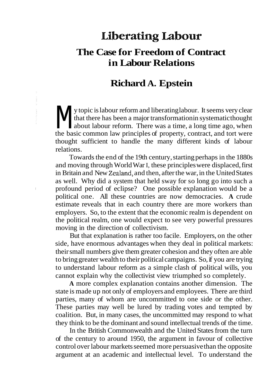# Liberating Labour **The Case for Freedom of Contract in Labour Relations**

### **Richard A. Epstein**

**M** y topic is labour reform and liberating labour. It seems very clear<br>that there has been a major transformation in systematic thought<br>about labour reform. There was a time, a long time ago, when<br>the basic common law pri that there has been a major transformation in systematic thought about labour reform. There was a time, a long time ago, when the basic common law principles of property, contract, and tort were thought sufficient to handle the many different kinds of labour relations.

Towards the end of the 19th century, starting perhaps in the 1880s and moving through World War I, these principles were displaced, first in Britain and New Zealand, and then, after the war, in the United States as well. Why did a system that held sway for so long go into such a profound period of eclipse? One possible explanation would be a political one. All these countries are now democracies. **A** crude estimate reveals that in each country there are more workers than employers. So, to the extent that the economic realm is dependent on the political realm, one would expect to see very powerful pressures moving in the direction of collectivism.

But that explanation is rather too facile. Employers, on the other side, have enormous advantages when they deal in political markets: their small numbers give them greater cohesion and they often are able to bring greater wealth to their political campaigns. So, if you are trying to understand labour reform as a simple clash of political wills, you cannot explain why the collectivist view triumphed so completely.

**A** more complex explanation contains another dimension. The state is made up not only of employers and employees. There are third parties, many of whom are uncommitted to one side or the other. These parties may well be lured by trading votes and tempted by coalition. But, in many cases, the uncommitted may respond to what they think to be the dominant and sound intellectual trends of the time.

In the British Commonwealth and the United States from the turn of the century to around 1950, the argument in favour of collective control over labour markets seemed more persuasive than the opposite argument at an academic and intellectual level. To understand the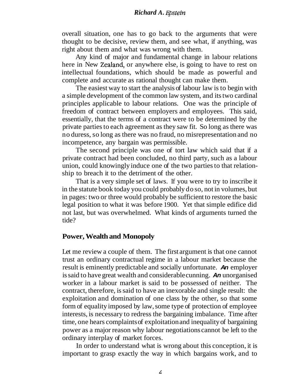#### *Richard A.* **Epstein**

overall situation, one has to go back to the arguments that were thought to be decisive, review them, and see what, if anything, was right about them and what was wrong with them.

Any kind of major and fundamental change in labour relations here in New Zealand, or anywhere else, is going to have to rest on intellectual foundations, which should be made as powerful and complete and accurate as rational thought can make them.

The easiest way to start the analysis of labour law is to begin with a simple development of the common law system, and its two cardinal principles applicable to labour relations. One was the principle of freedom of contract between employers and employees. This said, essentially, that the terms of a contract were to be determined by the private parties to each agreement as they saw fit. So long as there was no duress, so long as there was no fraud, no misrepresentation and no incompetence, any bargain was permissible.

The second principle was one of tort law which said that if a private contract had been concluded, no third party, such as a labour union, could knowingly induce one of the two parties to that relationship to breach it to the detriment of the other.

That is a very simple set of laws. If you were to try to inscribe it in the statute book today you could probably do so, not in volumes, but in pages: two or three would probably be sufficient to restore the basic legal position to what it was before 1900. Yet that simple edifice did not last, but was overwhelmed. What kinds of arguments turned the tide?

#### **Power, Wealth and Monopoly**

Let me review a couple of them. The first argument is that one cannot trust an ordinary contractual regime in a labour market because the result is eminently predictable and socially unfortunate. **An** employer is said to have great wealth and considerable cunning. **An** unorganised worker in a labour market is said to be possessed of neither. The contract, therefore, is said to have an inexorable and single result: the exploitation and domination of one class by the other, so that some form of equality imposed by law, some type of protection of employee interests, is necessary to redress the bargaining imbalance. Time after time, one hears complaints of exploitation and inequality of bargaining power as a major reason why labour negotiations cannot be left to the ordinary interplay of market forces.

In order to understand what is wrong about this conception, it is important to grasp exactly the way in which bargains work, and to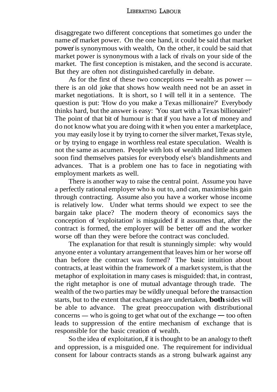disaggregate two different conceptions that sometimes go under the name df market power. On the one hand, it could be said that market power' is synonymous with wealth. On the other, it could be said that market power is synonymous with a lack of rivals on your side of the market. The first conception is mistaken, and the second is accurate. But they are often not distinguished carefully in debate.

As for the first of these two conceptions  $-$  wealth as power  $$ there is an old joke that shows how wealth need not be an asset in market negotiations. It is short, so I will tell it in a sentence. The question is put: 'How do you make a Texas millionaire?' Everybody thinks hard, but the answer is easy: 'You start with a Texas billionaire!' The point of that bit of humour is that if you have a lot of money and do not know what you are doing with it when you enter a marketplace, you may easily lose it by trying to corner the silver market, Texas style, or by trying to engage in worthless real estate speculation. Wealth is not the same as acumen. People with lots of wealth and little acumen soon find themselves patsies for everybody else's blandishments and advances. That is a problem one has to face in negotiating with employment markets as well.

There is another way to raise the central point. Assume you have a perfectly rational employer who is out to, and can, maximise his gain through contracting. Assume also you have a worker whose income is relatively low. Under what terms should we expect to see the bargain take place? The modern theory of economics says the conception of 'exploitation' is misguided if it assumes that, after the contract is formed, the employer will be better off and the worker worse off than they were before the contract was concluded.

The explanation for that result is stunningly simple: why would anyone enter a voluntary arrangement that leaves him or her worse off than before the contract was formed? The basic intuition about contracts, at least within the framework of a market system, is that the metaphor of exploitation in many cases is misguided: that, in contrast, the right metaphor is one of mutual advantage through trade. The wealth of the two parties may be wildly unequal before the transaction starts, but to the extent that exchanges are undertaken, **both** sides will be able to advance. The great preoccupation with distributional starts, but to the extent that exchanges are undertaken, **both** sides will<br>be able to advance. The great preoccupation with distributional<br>concerns — who is going to get what out of the exchange — too often leads to suppression of the entire mechanism of exchange that is responsible for the basic creation of wealth.

So the idea of exploitation, if it is thought to be an analogy to theft and oppression, is a misguided one. The requirement for individual consent for labour contracts stands as a strong bulwark against any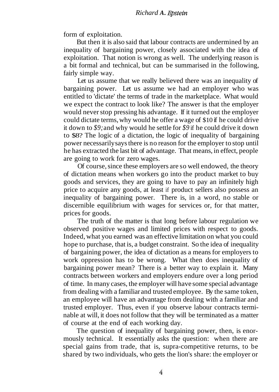form of exploitation.

But then it is also said that labour contracts are undermined by an inequality of bargaining power, closely associated with the idea of exploitation. That notion is wrong as well. The underlying reason is a bit formal and technical, but can be summarised in the following, fairly simple way.

Let us assume that we really believed there was an inequality of bargaining power. Let us assume we had an employer who was entitled to 'dictate' the terms of trade in the marketplace. What would we expect the contract to look like? The answer is that the employer would never stop pressing his advantage. If it turned out the employer could dictate terms, why would he offer a wage of \$10 if he could drive it down to *\$9;* and why would he settle for *\$9* if he could drive it down to \$8? The logic of a dictation, the logic of inequality of bargaining power necessarily says there is no reason for the employer to stop until he has extracted the last bit of advantage. That means, in effect, people are going to work for zero wages.

Of course, since these employers are so well endowed, the theory of dictation means when workers go into the product market to buy goods and services, they are going to have to pay an infinitely high price to acquire any goods, at least if product sellers also possess an inequality of bargaining power. There is, in a word, no stable or discernible equilibrium with wages for services or, for that matter, prices for goods.

The truth of the matter is that long before labour regulation we observed positive wages and limited prices with respect to goods. Indeed, what you earned was an effective limitation on what you could hope to purchase, that is, a budget constraint. So the idea of inequality of bargaining power, the idea of dictation as a means for employers to work oppression has to be wrong. What then does inequality of bargaining power mean? There is a better way to explain it. Many contracts between workers and employers endure over a long period of time. In many cases, the employer will have some special advantage from dealing with a familiar and trusted employee. By the same token, an employee will have an advantage from dealing with a familiar and trusted employer. Thus, even if you observe labour contracts terminable at will, it does not follow that they will be terminated as a matter of course at the end of each working day.

The question of inequality of bargaining power, then, is enormously technical. It essentially asks the question: when there are special gains from trade, that is, supra-competitive returns, to be shared by two individuals, who gets the lion's share: the employer or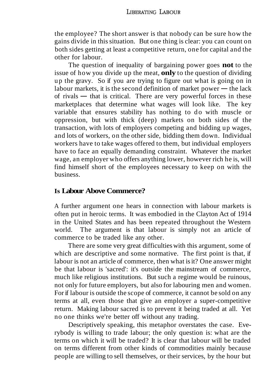the employee? The short answer is that nobody can be sure how the gains divide in this situation. But one thing is clear: you can count on both sides getting at least a competitive return, one for capital and the other for labour.

The question of inequality of bargaining power goes **not** to the issue of how you divide up the meat, **only** to the question of dividing up the gravy. So if you are trying to figure out what is going on in issue of how you divide up the meat, **only** to the question of dividing<br>up the gravy. So if you are trying to figure out what is going on in<br>labour markets, it is the second definition of market power — the lack<br>of simple labour markets, it is the second definition of market power  $-$  the lack of rivals  $-$  that is critical. There are very powerful forces in these marketplaces that determine what wages will look like. The key variable that ensures stability has nothing to do with muscle or oppression, but with thick (deep) markets on both sides of the transaction, with lots of employers competing and bidding up wages, and lots of workers, on the other side, bidding them down. Individual workers have to take wages offered to them, but individual employers have to face an equally demanding constraint. Whatever the market wage, an employer who offers anything lower, however rich he is, will find himself short of the employees necessary to keep on with the business.

#### **Is Labour Above Commerce?**

A further argument one hears in connection with labour markets is often put in heroic terms. It was embodied in the Clayton Act of 1914 in the United States and has been repeated throughout the Western world. The argument is that labour is simply not an article of commerce to be traded like any other.

There are some very great difficulties with this argument, some of which are descriptive and some normative. The first point is that, if labour is not an article of commerce, then what is it? One answer might be that labour is 'sacred': it's outside the mainstream of commerce, much like religious institutions. But such a regime would be ruinous, not only for future employers, but also for labouring men and women. For if labour is outside the scope of commerce, it cannot be sold on any terms at all, even those that give an employer a super-competitive return. Making labour sacred is to prevent it being traded at all. Yet no one thinks we're better off without any trading.

Descriptively speaking, this metaphor overstates the case. Everybody is willing to trade labour; the only question is: what are the terms on which it will be traded? It is clear that labour will be traded on terms different from other kinds of commodities mainly because people are willing to sell themselves, or their services, by the hour but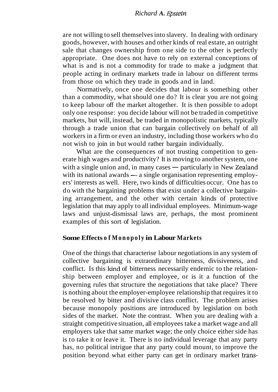#### *Richard A.* **Epstein**

are not willing to sell themselves into slavery. In dealing with ordinary goods, however, with houses and other kinds of real estate, an outright sale that changes ownership from one side to the other is perfectly appropriate. One does not have to rely on external conceptions of what is and is not a commodity for trade to make a judgment that people acting in ordinary markets trade in labour on different terms from those on which they trade in goods and in land.

Normatively, once one decides that labour is something other than a commodity, what should one do? It is clear you are not going to keep labour off the market altogether. It is then possible to adopt only one response: you decide labour will not be traded in competitive markets, but will, instead, be traded in monopolistic markets, typically through a trade union that can bargain collectively on behalf of all workers in a firm or even an industry, including those workers who do not wish to join in but would rather bargain individually.

What are the consequences of not trusting competition to generate high wages and productivity? It is moving to another system, one What are the consequences of not trusting competition to generate high wages and productivity? It is moving to another system, one with a single union and, in many cases — particularly in New Zealand erate high wages and productivity? It is moving to another system, one<br>with a single union and, in many cases — particularly in New Zealand<br>with its national awards — a single organisation representing employ-<br>and interact ers' interests as well. Here, two kinds of difficulties occur. One has to do with the bargaining problems that exist under a collective bargaining arrangement, and the other with certain kinds of protective legislation that may apply to all individual employees. Minimum-wage laws and unjust-dismissal laws are, perhaps, the most prominent examples of this sort of legislation.

#### **Some Effects of Monopoly in Labour Markets**

One of the things that characterise labour negotiations in any system of collective bargaining is extraordinary bitterness, divisiveness, and conflict. Is this kind of bitterness necessarily endemic to the relationship between employer and employee, or is it a function of the governing rules that structure the negotiations that take place? There is nothing about the employer-employee relationship that requires it to be resolved by bitter and divisive class conflict. The problem arises because monopoly positions are introduced by legislation on both sides of the market. Note the contrast. When you are dealing with a straight competitive situation, all employees take a market wage and all employers take that same market wage; the only choice either side has is to take it or leave it. There is no individual leverage that any party has, no political intrigue that any party could mount, to improve the position beyond what either party can get in ordinary market trans-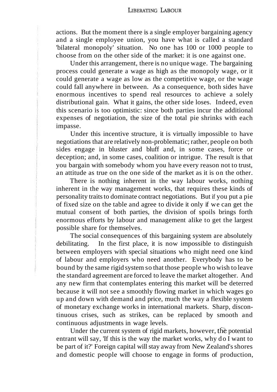actions. But the moment there is a single employer bargaining agency and a single employee union, you have what is called a standard 'bilateral monopoly' situation. No one has 100 or 1000 people to choose from on the other side of the market: it is one against one.

Under this arrangement, there is no unique wage. The bargaining process could generate a wage as high as the monopoly wage, or it could generate a wage as low as the competitive wage, or the wage could fall anywhere in between. As a consequence, both sides have enormous incentives to spend real resources to achieve a solely distributional gain. What it gains, the other side loses. Indeed, even this scenario is too optimistic: since both parties incur the additional expenses of negotiation, the size of the total pie shrinks with each impasse.

Under this incentive structure, it is virtually impossible to have negotiations that are relatively non-problematic; rather, people on both sides engage in bluster and bluff and, in some cases, force or deception; and, in some cases, coalition or intrigue. The result is that you bargain with somebody whom you have every reason not to trust, an attitude as true on the one side of the market as it is on the other.

There is nothing inherent in the way labour works, nothing inherent in the way management works, that requires these kinds of personality traits to dominate contract negotiations. But if you put a pie of fixed size on the table and agree to divide it only if we can get the mutual consent of both parties, the division of spoils brings forth enormous efforts by labour and management alike to get the largest possible share for themselves.

The social consequences of this bargaining system are absolutely debilitating. In the first place, it is now impossible to distinguish between employers with special situations who might need one kind of labour and employers who need another. Everybody has to be bound by the same rigid system so that those people who wish to leave the standard agreement are forced to leave the market altogether. And any new firm that contemplates entering this market will be deterred because it will not see a smoothly flowing market in which wages go up and down with demand and price, much the way a flexible system of monetary exchange works in international markets. Sharp, discontinuous crises, such as strikes, can be replaced by smooth and continuous adjustments in wage levels.

Under the current system of rigid markets, however, the potential entrant will say, 'If this is the way the market works, why do I want to be part of it?' Foreign capital will stay away from New Zealand's shores and domestic people will choose to engage in forms of production,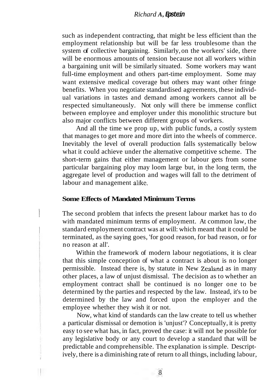such as independent contracting, that might be less efficient than the employment relationship but will be far less troublesome than the system of collective bargaining. Similarly, on the workers' side, there will be enormous amounts of tension because not all workers within a bargaining unit will be similarly situated. Some workers may want full-time employment and others part-time employment. Some may want extensive medical coverage but others may want other fringe benefits. When you negotiate standardised agreements, these individual variations in tastes and demand among workers cannot all be respected simultaneously. Not only will there be immense conflict between employee and employer under this monolithic structure but also major conflicts between different groups of workers.

And all the time we prop up, with public funds, a costly system that manages to get more and more dirt into the wheels of commerce. Inevitably the level of overall production falls systematically below what it could achieve under the alternative competitive scheme. The short-term gains that either management or labour gets from some particular bargaining ploy may loom large but, in the long term, the aggregate level of production and wages will fall to the detriment of labour and management alike.

#### **Some Effects of Mandated Minimum Terms**

The second problem that infects the present labour market has to do with mandated minimum terms of employment. At common law, the standard employment contract was at will: which meant that it could be terminated, as the saying goes, 'for good reason, for bad reason, or for no reason at all'.

Within the framework of modern labour negotiations, it is clear that this simple conception of what a contract is about is no longer permissible. Instead there is, by statute in New Zealand as in many other places, a law of unjust dismissal. The decision as to whether an employment contract shall be continued is no longer one to be determined by the parties and respected by the law. Instead, it's to be determined by the law and forced upon the employer and the employee whether they wish it or not.

Now, what kind of standards can the law create to tell us whether a particular dismissal or demotion is 'unjust'? Conceptually, it is pretty easy to see what has, in fact, proved the case: it will not be possible for any legislative body or any court to develop a standard that will be predictable and comprehensible. The explanation is simple. Descriptively, there is a diminishing rate of return to all things, including labour,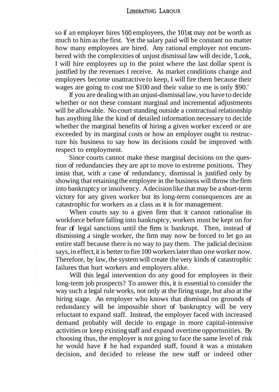so if an employer hires 100 employees, the 10lst may not be worth as much to him as the first. Yet the salary paid will be constant no matter how many employees are hired. Any rational employer not encumbered with the complexities of unjust dismissal law will decide, 'Look, I will hire employees up to the point where the last dollar spent is justified by the revenues I receive. As market conditions change and employees become unattractive to keep, I will fire them because their wages are going to cost me \$100 and their value to me is only \$90.'

If you are dealing with an unjust-dismissal law, you have to decide whether or not these constant marginal and incremental adjustments will be allowable. No court standing outside a contractual relationship has anything like the kind of detailed information necessary to decide whether the marginal benefits of hiring a given worker exceed or are exceeded by its marginal costs or how an employer ought to restructure his business to say how its decisions could be improved with respect to employment.

Since courts cannot make these marginal decisions on the question of redundancies they are apt to move to extreme positions. They insist that, with a case of redundancy, dismissal is justified only by showing that retaining the employee in the business will throw the firm into bankruptcy or insolvency. A decision like that may be a short-term victory for any given worker but its long-term consequences are as catastrophic for workers as a class as it is for management.

When courts say to a given firm that it cannot rationalise its workforce before falling into bankruptcy, workers must be kept on for fear of legal sanctions until the firm is bankrupt. Then, instead of dismissing a single worker, the firm may now be forced to let go an entire staff because there is no way to pay them. The judicial decision says, in effect, it is better to fire 100 workers later than one worker now. Therefore, by law, the system will create the very kinds of catastrophic failures that hurt workers and employers alike.

Will this legal intervention do any good for employees in their long-term job prospects? To answer this, it is essential to consider the way such a legal rule works, not only at the firing stage, but also at the hiring stage. An employer who knows that dismissal on grounds of redundancy will be impossible short of bankruptcy will be very reluctant to expand staff. Instead, the employer faced with increased demand probably will decide to engage in more capital-intensive activities or keep existing staff and expand overtime opportunities. By choosing thus, the employer is not going to face the same level of risk he would have if he had expanded staff, found it was a mistaken decision, and decided to release the new staff or indeed other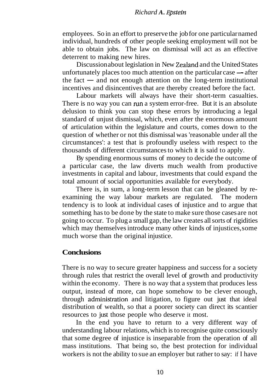#### *Richard A.* **Epstein**

employees. So in an effort to preserve the job for one particular named individual, hundreds of other people seeking employment will not be able to obtain jobs. The law on dismissal will act as an effective deterrent to making new hires.

Discussion about legislation in New Zealand and the United States deterrent to making new hires.<br>Discussion about legislation in New Zealand and the United States<br>unfortunately places too much attention on the particular case — after<br>the feature and net attention on the lang term institu unfortunately places too much attention on the particular case  $-$  after the fact  $-$  and not enough attention on the long-term institutional incentives and disincentives that are thereby created before the fact.

Labour markets will always have their short-term casualties. There is no way you can run a system error-free. But it is an absolute delusion to think you can stop these errors by introducing a legal standard of unjust dismissal, which, even after the enormous amount of articulation within the legislature and courts, comes down to the question of whether or not this dismissal was 'reasonable under all the circumstances': a test that is profoundly useless with respect to the thousands of different circumstances to which it is said to apply.

By spending enormous sums of money to decide the outcome of a particular case, the law diverts much wealth from productive investments in capital and labour, investments that could expand the total amount of social opportunities available for everybody.

There is, in sum, a long-term lesson that can be gleaned by reexamining the way labour markets are regulated. The modern tendency is to look at individual cases of injustice and to argue that something has to be done by the state to make sure those cases are not going to occur. To plug a small gap, the law creates all sorts of rigidities which may themselves introduce many other kinds of injustices, some much worse than the original injustice.

#### **Conclusions**

There is no way to secure greater happiness and success for a society through rules that restrict the overall level of growth and productivity within the economy. There is no way that a system that produces less output, instead of more, can hope somehow to be clever enough, through administration and litigation, to figure out just that ideal distribution of wealth, so that a poorer society can direct its scantier resources to just those people who deserve it most.

In the end you have to return to a very different way of understanding labour relations, which is to recognise quite consciously that some degree of injustice is inseparable from the operation of all mass institutions. That being so, the best protection for individual workers is not the ability to sue an employer but rather to say: if I have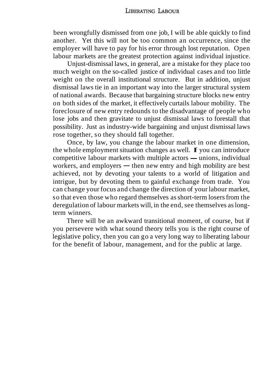been wrongfully dismissed from one job, I will be able quickly to find another. Yet this will not be too common an occurrence, since the employer will have to pay for his error through lost reputation. Open labour markets are the greatest protection against individual injustice.

Unjust-dismissal laws, in general, are a mistake for they place too much weight on the so-called justice of individual cases and too little weight on the overall institutional structure. But in addition, unjust dismissal laws tie in an important way into the larger structural system of national awards. Because that bargaining structure blocks new entry on both sides of the market, it effectively curtails labour mobility. The foreclosure of new entry redounds to the disadvantage of people who lose jobs and then gravitate to unjust dismissal laws to forestall that possibility. Just as industry-wide bargaining and unjust dismissal laws rose together, so they should fall together.

Once, by law, you change the labour market in one dimension, the whole employment situation changes as well. If you can introduce Once, by law, you change the labour market in one dimension,<br>the whole employment situation changes as well. **F** you can introduce<br>competitive labour markets with multiple actors — unions, individual the whole employment situation changes as well. **F** you can introduce competitive labour markets with multiple actors — unions, individual workers, and employers — then new entry and high mobility are best achieved, not by devoting your talents to a world of litigation and intrigue, but by devoting them to gainful exchange from trade. You can change your focus and change the direction of your labour market, so that even those who regard themselves as short-term losers from the deregulation of labour markets will, in the end, see themselves as longterm winners.

There will be an awkward transitional moment, of course, but if you persevere with what sound theory tells you is the right course of legislative policy, then you can go a very long way to liberating labour for the benefit of labour, management, and for the public at large.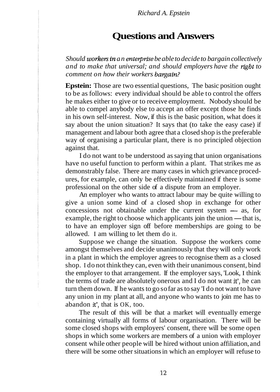### **Questions and Answers**

*Should workers in an enterprise be able to decide to bargain collectively and to make that universal; and should employers have the rlght to comment on how their workers baqain?* 

**Epstein:** Those are two essential questions, The basic position ought to be as follows: every individual should be able to control the offers he makes either to give or to receive employment. Nobody should be able to compel anybody else to accept an offer except those he finds in his own self-interest. Now, if this is the basic position, what does it say about the union situation? It says that (to take the easy case) if management and labour both agree that a closed shop is the preferable way of organising a particular plant, there is no principled objection against that.

I do not want to be understood as saying that union organisations have no useful function to perform within a plant. That strikes me as demonstrably false. There are many cases in which grievance procedures, for example, can only be effectively maintained if there is some professional on the other side of a dispute from an employer.

An employer who wants to attract labour may be quite willing to give a union some kind of a closed shop in exchange for other An employer who wants to attract labour may be quite willing to<br>give a union some kind of a closed shop in exchange for other<br>concessions not obtainable under the current system  $\rightarrow$  as, for concessions not obtainable under the current system  $\rightarrow$  as, for example, the right to choose which applicants join the union  $\rightarrow$  that is, to have an employer sign off before memberships are going to be allowed. I am willing to let them do it.

Suppose we change the situation. Suppose the workers come amongst themselves and decide unanimously that they will only work in a plant in which the employer agrees to recognise them as a closed shop. I do not think they can, even with their unanimous consent, bind the employer to that arrangement. If the employer says, 'Look, I think the terms of trade are absolutely onerous and I do not want it', he can turn them down. If he wants to go so far as to say 'I do not want to have any union in my plant at all, and anyone who wants to join me has to abandon it', that is OK, too.

The result of this will be that a market will eventually emerge containing virtually all forms of labour organisation. There will be some closed shops with employers' consent, there will be some open shops in which some workers are members of a union with employer consent while other people will be hired without union affiliation, and there will be some other situations in which an employer will refuse to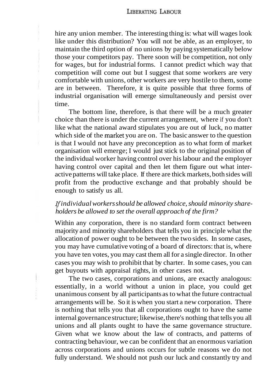hire any union member. The interesting thing is: what will wages look like under this distribution? You will not be able, as an employer, to maintain the third option of no unions by paying systematically below those your competitors pay. There soon will be competition, not only for wages, but for industrial forms. I cannot predict which way that competition will come out but I suggest that some workers are very comfortable with unions, other workers are very hostile to them, some are in between. Therefore, it is quite possible that three forms of industrial organisation will emerge simultaneously and persist over time.

The bottom line, therefore, is that there will be a much greater choice than there is under the current arrangement, where if you don't like what the national award stipulates you are out of luck, no matter which side of the market you are on. The basic answer to the question is that I would not have any preconception as to what form of market organisation will emerge; I would just stick to the original position of the individual worker having control over his labour and the employer having control over capital and then let them figure out what interactive patterns will take place. If there are thick markets, both sides will profit from the productive exchange and that probably should be enough to satisfy us all.

#### *If individual workers should be allowed choice, should minority shareholders be allowed to set the overall approach of the firm?*

Within any corporation, there is no standard form contract between majority and minority shareholders that tells you in principle what the allocation of power ought to be between the two sides. In some cases, you may have cumulative voting of a board of directors: that is, where you have ten votes, you may cast them all for a single director. In other cases you may wish to prohibit that by charter. In some cases, you can get buyouts with appraisal rights, in other cases not.

The two cases, corporations and unions, are exactly analogous: essentially, in a world without a union in place, you could get unanimous consent by all participants as to what the future contractual arrangements will be. So it is when you start a new corporation. There is nothing that tells you that all corporations ought to have the same internal governance structure; likewise, there's nothing that tells you all unions and all plants ought to have the same governance structure. Given what we know about the law of contracts, and patterns of contracting behaviour, we can be confident that an enormous variation across corporations and unions occurs for subtle reasons we do not fully understand. We should not push our luck and constantly try and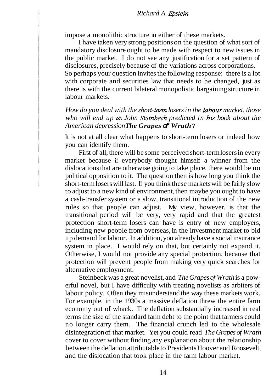impose a monolithic structure in either of these markets.

I have taken very strong positions on the question of what sort of mandatory disclosure ought to be made with respect to new issues in the public market. I do not see any justification for a set pattern of disclosures, precisely because of the variations across corporations. So perhaps your question invites the following response: there is a lot with corporate and securities law that needs to be changed, just as there is with the current bilateral monopolistic bargaining structure in labour markets.

*How do you deal with the short-tern losers in the hbour market, those who will end up as John Steinbeck predicted in his book about the American depression The Grapes* **of** *Wrath* ?

It is not at all clear what happens to short-term losers or indeed how you can identify them.

First of all, there will be some perceived short-term losers in every market because if everybody thought himself a winner from the dislocations that are otherwise going to take place, there would be no political opposition to it. The question then is how long you think the short-term losers will last. If you think these markets will be fairly slow to adjust to a new kind of environment, then maybe you ought to have a cash-transfer system or a slow, transitional introduction of the new rules so that people can adjust. My view, however, is that the transitional period will be very, very rapid and that the greatest protection short-term losers can have is entry of new employers, including new people from overseas, in the investment market to bid up demand for labour. In addition, you already have a social insurance system in place. I would rely on that, but certainly not expand it. Otherwise, I would not provide any special protection, because that protection will prevent people from making very quick searches for alternative employment.

Steinbeck was a great novelist, and *The Grapes of Wrath* is a powerful novel, but I have difficulty with treating novelists as arbiters of labour policy. Often they misunderstand the way these markets work. For example, in the 1930s a massive deflation threw the entire farm economy out of whack. The deflation substantially increased in real terms the size of the standard farm debt to the point that farmers could no longer carry them. The financial crunch led to the wholesale disintegration of that market. Yet you could read *The Grapes of Wrath*  cover to cover without finding any explanation about the relationship between the deflation attributable to Presidents Hoover and Roosevelt, and the dislocation that took place in the farm labour market.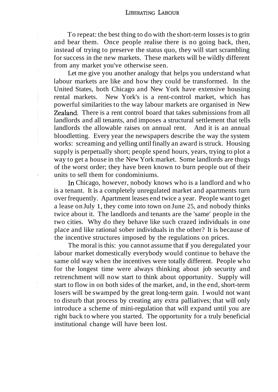To repeat: the best thing to do with the short-term losses is to grin and bear them. Once people realise there is no going back, then, instead of trying to preserve the status quo, they will start scrambling for success in the new markets. These markets will be wildly different from any market you've otherwise seen.

Let me give you another analogy that helps you understand what labour markets are like and how they could be transformed. In the United States, both Chicago and New York have extensive housing rental markets. New York's is a rent-control market, which has powerful similarities to the way labour markets are organised in New Zealand. There is a rent control board that takes submissions from all landlords and all tenants, and imposes a structural settlement that tells landlords the allowable raises on annual rent. And it is an annual bloodletting. Every year the newspapers describe the way the system works: screaming and yelling until finally an award is struck. Housing supply is perpetually short; people spend hours, years, trying to plot a way to get a house in the New York market. Some landlords are thugs of the worst order; they have been known to burn people out of their units to sell them for condominiums.

In Chicago, however, nobody knows who is a landlord and who is a tenant. It is a completely unregulated market and apartments turn over frequently. Apartment leases end twice a year. People want to get a lease on July 1, they come into town on June 25, and nobody thinks twice about it. The landlords and tenants are the 'same' people in the two cities. Why do they behave like such crazed individuals in one place and like rational sober individuals in the other? It is because of the incentive structures imposed by the regulations on prices.

The moral is this: you cannot assume that if you deregulated your labour market domestically everybody would continue to behave the same old way when the incentives were totally different. People who for the longest time were always thinking about job security and retrenchment will now start to think about opportunity. Supply will start to flow in on both sides of the market, and, in the end, short-term losers will be swamped by the great long-term gain. I would not want to disturb that process by creating any extra palliatives; that will only introduce a scheme of mini-regulation that will expand until you are right back to where you started. The opportunity for a truly beneficial institutional change will have been lost.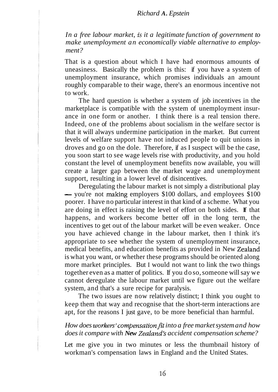#### *Richard A. Epstein*

*In a free labour market,* is *it a legitimate function of government to make unemployment an economically viable alternative to employment?* 

That is a question about which I have had enormous amounts of uneasiness. Basically the problem is this: if you have a system of unemployment insurance, which promises individuals an amount roughly comparable to their wage, there's an enormous incentive not to work.

The hard question is whether a system of job incentives in the marketplace is compatible with the system of unemployment insurance in one form or another. I think there is a real tension there. Indeed, one of the problems about socialism in the welfare sector is that it will always undermine participation in the market. But current levels of welfare support have not induced people to quit unions in droves and go on the dole. Therefore, if as I suspect will be the case, you soon start to see wage levels rise with productivity, and you hold constant the level of unemployment benefits now available, you will create a larger gap between the market wage and unemployment support, resulting in a lower level of disincentives.

Deregulating the labour market is not simply a distributional play - you're not making employers \$100 dollars, and employees \$100 poorer. I have no particular interest in that kind of a scheme. What you are doing in effect is raising the level of effort on both sides. If that happens, and workers become better off in the long term, the incentives to get out of the labour market will be even weaker. Once you have achieved change in the labour market, then I think it's appropriate to see whether the system of unemployment insurance, medical benefits, and education benefits as provided in New Zealand is what you want, or whether these programs should be oriented along more market principles. But I would not want to link the two things together even as a matter of politics. If you do so, someone will say we cannot deregulate the labour market until we figure out the welfare system, and that's a sure recipe for paralysis.

The two issues are now relatively distinct; I think you ought to keep them that way and recognise that the short-term interactions are apt, for the reasons I just gave, to be more beneficial than harmful.

#### How does workers' compensation fit into a free market system and how *does it compare with New Zealand's accident compensation scheme?*

Let me give you in two minutes or less the thumbnail history of workman's compensation laws in England and the United States.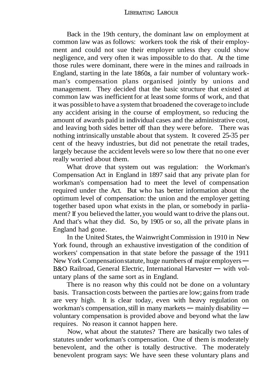Back in the 19th century, the dominant law on employment at common law was as follows: workers took the risk of their employment and could not sue their employer unless they could show negligence, and very often it was impossible to do that. At the time those rules were dominant, there were in the mines and railroads in England, starting in the late 1860s, a fair number of voluntary workman's compensation plans organised jointly by unions and management. They decided that the basic structure that existed at common law was inefficient for at least some forms of work, and that it was possible to have a system that broadened the coverage to include any accident arising in the course of employment, so reducing the amount of awards paid in individual cases and the administrative cost, and leaving both sides better off than they were before. There was nothing intrinsically unstable about that system. It covered 25-35 per cent of the heavy industries, but did not penetrate the retail trades, largely because the accident levels were so low there that no one ever really worried about them.

What drove that system out was regulation: the Workman's Compensation Act in England in 1897 said that any private plan for workman's compensation had to meet the level of compensation required under the Act. But who has better information about the optimum level of compensation: the union and the employer getting together based upon what exists in the plan, or somebody in parliament? If you believed the latter, you would want to drive the plans out. And that's what they did. So, by 1905 or so, all the private plans in England had gone.

In the United States, the Wainwright Commission in 1910 in New York found, through an exhaustive investigation of the condition of workers' compensation in that state before the passage of the 1911 York found, through an exhaustive investigation of the condition of<br>workers' compensation in that state before the passage of the 1911<br>New York Compensation statute, huge numbers of major employers —<br>Re O Beilward Canand F New York Compensation statute, huge numbers of major employers —<br>B&O Railroad, General Electric, International Harvester — with voluntary plans of the same sort as in England.

There is no reason why this could not be done on a voluntary basis. Transaction costs between the parties are low; gains from trade are very high. It is clear today, even with heavy regulation on workman's compensation, still in many markets  $-$  mainly disability  $$ voluntary compensation is provided above and beyond what the law requires. No reason it cannot happen here.

Now, what about the statutes? There are basically two tales of statutes under workman's compensation. One of them is moderately benevolent, and the other is totally destructive. The moderately benevolent program says: We have seen these voluntary plans and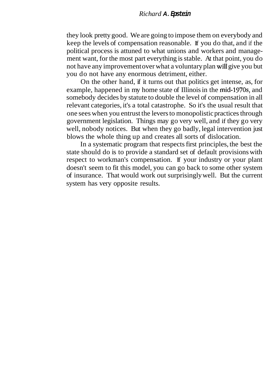#### *Richard* **A. Epstein**

they look pretty good. We are going to impose them on everybody and keep the levels of compensation reasonable. If you do that, and if the political process is attuned to what unions and workers and management want, for the most part everything is stable. At that point, you do not have any improvement over what a voluntary plan will give you but you do not have any enormous detriment, either.

On the other hand, if it turns out that politics get intense, as, for example, happened in my home state of Illinois in the mid-1970s, and somebody decides by statute to double the level of compensation in all relevant categories, it's a total catastrophe. So it's the usual result that one sees when you entrust the levers to monopolistic practices through government legislation. Things may go very well, and if they go very well, nobody notices. But when they go badly, legal intervention just blows the whole thing up and creates all sorts of dislocation.

In a systematic program that respects first principles, the best the state should do is to provide a standard set of default provisions with respect to workman's compensation. If your industry or your plant doesn't seem to fit this model, you can go back to some other system of insurance. That would work out surprisingly well. But the current system has very opposite results.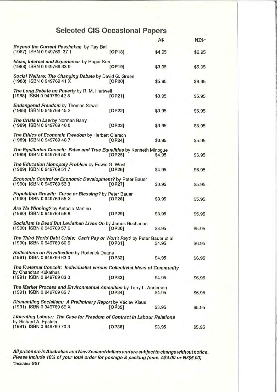## **Selected CIS Occasional Papers**

|                                                                                                        |        | A\$    | NZ\$*  |
|--------------------------------------------------------------------------------------------------------|--------|--------|--------|
| Beyond the Current Pessimism by Ray Ball<br>(1987) ISBN 0 949769 37 1                                  | [OP18] | \$4.95 | \$6.95 |
| Ideas, Interest and Experience by Roger Kerr<br>(1988) ISBN 0 949769 33 9                              | [OP19] | \$3.95 | \$5.95 |
| Social Welfare: The Changing Debate by David G. Green<br>(1988) ISBN 0 949769 41 X                     | [OP20] | \$5.95 | \$8.95 |
| The Long Debate on Poverty by R. M. Hartwell<br>[1988] ISBN 0 949769 42 8                              | [OP21] | \$3.95 | \$5.95 |
| <b>Endangered Freedom by Thomas Sowell</b><br>(1988) ISBN 0 949769 45 2                                | [OP22] | \$3.95 | \$5.95 |
| The Crisis in Law by Norman Barry<br>(1989) ISBN 0 949769 46 0                                         | [OP23] | \$3.95 | \$5.95 |
| The Ethics of Economic Freedom by Herbert Giersch<br>(1989) ISBN 0 949769 487                          | [OP24] | \$3.95 | \$5.95 |
| The Egalitarian Conceit: False and True Equalities by Kenneth Minogue<br>(1989) ISBN 0 949769 50 9     | [OP25] | \$4.95 | \$6.95 |
| The Education Monopoly Problem by Edwin G. West<br>(1989) ISBN 0 949769 517                            | [OP26] | \$4.95 | \$6.95 |
| <b>Economic Control or Economic Development?</b> by Peter Bauer<br>(1990) ISBN 0 949769 533            | [OP27] | \$3.95 | \$5.95 |
| Population Growth: Curse or Blessing? by Peter Bauer<br>(1990) ISBN 0 949769 55 X                      | [OP28] | \$3.95 | \$5.95 |
| Are We Winning? by Antonio Martino<br>(1990) ISBN 0 949769 56 8                                        | [OP29] | \$3.95 | \$5.95 |
| Socialism is Dead But Leviathan Lives On by James Buchanan<br>(1990) ISBN 0 949769 57 6                | [OP30] | \$3.95 | \$5.95 |
| The Third World Debt Crisis: Can't Pay or Won't Pay? by Peter Bauer et al<br>(1990) ISBN 0 949769 60 6 | [OP31] | \$4.95 | \$6.95 |
| <b>Reflections on Privatisation by Roderick Deane</b><br>(1991) ISBN 0 949769 63 0                     | [OP32] | \$4.95 | \$6.95 |
| The Fraternal Conceit: Individualist versus Collectivist Ideas of Community<br>by Chandran Kukathas    |        |        |        |
| (1991) ISBN 0 949769 63 0                                                                              | [OP33] | \$4.95 | \$6.95 |
| The Market Process and Environmental Amenities by Terry L. Anderson<br>(1991) ISBN 0 949769 657        | [OP34] | \$4.95 | \$6.95 |
| Dismantling Socialism: A Preliminary Report by Václav Klaus<br>(1991) ISBN 0 949769 69 X               | [OP35] | \$3.95 | \$5.95 |
| Liberating Labour: The Case for Freedom of Contract in Labour Relations<br>by Richard A. Epstein       |        |        |        |
| (1991) ISBN 0 949769 70 3                                                                              | [OP36] | \$3.95 | \$5.95 |

All prices are in Australian and New Zealand dollars and are subject to change without notice.<br>Please include 10% of your total order for postage & packing (max. A\$4.00 or NZ\$5.00) \*includes GST